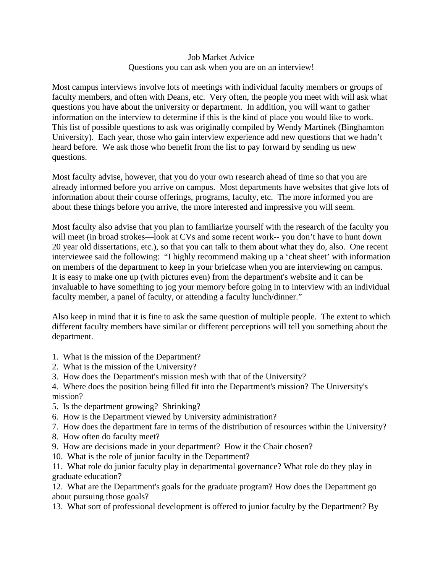## Job Market Advice Questions you can ask when you are on an interview!

Most campus interviews involve lots of meetings with individual faculty members or groups of faculty members, and often with Deans, etc. Very often, the people you meet with will ask what questions you have about the university or department. In addition, you will want to gather information on the interview to determine if this is the kind of place you would like to work. This list of possible questions to ask was originally compiled by Wendy Martinek (Binghamton University). Each year, those who gain interview experience add new questions that we hadn't heard before. We ask those who benefit from the list to pay forward by sending us new questions.

Most faculty advise, however, that you do your own research ahead of time so that you are already informed before you arrive on campus. Most departments have websites that give lots of information about their course offerings, programs, faculty, etc. The more informed you are about these things before you arrive, the more interested and impressive you will seem.

Most faculty also advise that you plan to familiarize yourself with the research of the faculty you will meet (in broad strokes—look at CVs and some recent work-- you don't have to hunt down 20 year old dissertations, etc.), so that you can talk to them about what they do, also. One recent interviewee said the following: "I highly recommend making up a 'cheat sheet' with information on members of the department to keep in your briefcase when you are interviewing on campus. It is easy to make one up (with pictures even) from the department's website and it can be invaluable to have something to jog your memory before going in to interview with an individual faculty member, a panel of faculty, or attending a faculty lunch/dinner."

Also keep in mind that it is fine to ask the same question of multiple people. The extent to which different faculty members have similar or different perceptions will tell you something about the department.

- 1. What is the mission of the Department?
- 2. What is the mission of the University?
- 3. How does the Department's mission mesh with that of the University?
- 4. Where does the position being filled fit into the Department's mission? The University's mission?
- 5. Is the department growing? Shrinking?
- 6. How is the Department viewed by University administration?
- 7. How does the department fare in terms of the distribution of resources within the University?
- 8. How often do faculty meet?
- 9. How are decisions made in your department? How it the Chair chosen?
- 10. What is the role of junior faculty in the Department?

11. What role do junior faculty play in departmental governance? What role do they play in graduate education?

12. What are the Department's goals for the graduate program? How does the Department go about pursuing those goals?

13. What sort of professional development is offered to junior faculty by the Department? By